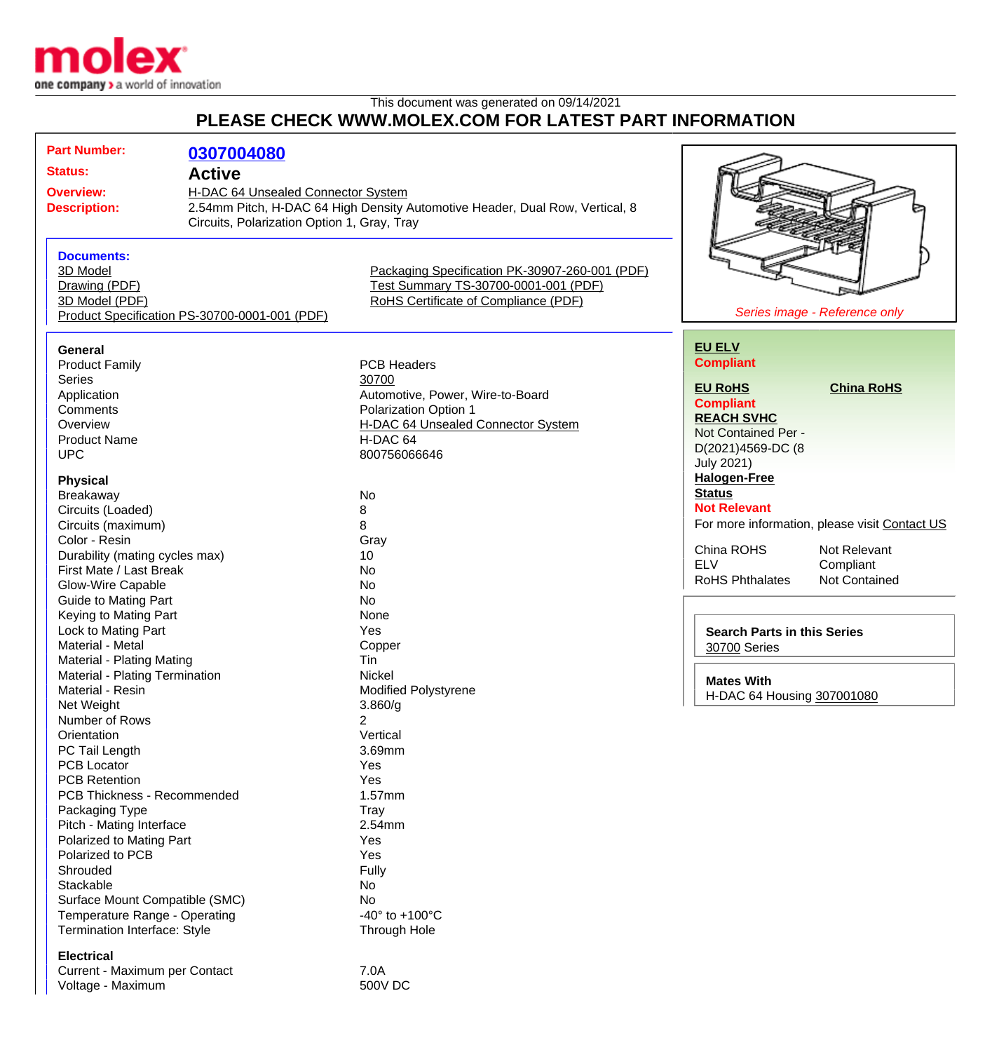

Voltage - Maximum 600V DC

## This document was generated on 09/14/2021 **PLEASE CHECK WWW.MOLEX.COM FOR LATEST PART INFORMATION**

|  | <b>Part Number:</b>                           |                                             |                                                                              |                                    |                                               |
|--|-----------------------------------------------|---------------------------------------------|------------------------------------------------------------------------------|------------------------------------|-----------------------------------------------|
|  |                                               | 0307004080                                  |                                                                              |                                    |                                               |
|  | <b>Status:</b>                                | <b>Active</b>                               |                                                                              |                                    |                                               |
|  | <b>Overview:</b>                              | H-DAC 64 Unsealed Connector System          |                                                                              |                                    |                                               |
|  | <b>Description:</b>                           |                                             | 2.54mm Pitch, H-DAC 64 High Density Automotive Header, Dual Row, Vertical, 8 |                                    |                                               |
|  |                                               | Circuits, Polarization Option 1, Gray, Tray |                                                                              |                                    |                                               |
|  |                                               |                                             |                                                                              |                                    |                                               |
|  | <b>Documents:</b>                             |                                             |                                                                              |                                    |                                               |
|  | 3D Model                                      |                                             | Packaging Specification PK-30907-260-001 (PDF)                               |                                    |                                               |
|  | Drawing (PDF)                                 |                                             | Test Summary TS-30700-0001-001 (PDF)                                         |                                    |                                               |
|  | 3D Model (PDF)                                |                                             | RoHS Certificate of Compliance (PDF)                                         |                                    |                                               |
|  | Product Specification PS-30700-0001-001 (PDF) |                                             |                                                                              | Series image - Reference only      |                                               |
|  |                                               |                                             |                                                                              |                                    |                                               |
|  |                                               |                                             |                                                                              | <b>EU ELV</b>                      |                                               |
|  | <b>General</b>                                |                                             |                                                                              |                                    |                                               |
|  | <b>Product Family</b>                         |                                             | <b>PCB Headers</b>                                                           | <b>Compliant</b>                   |                                               |
|  | Series                                        |                                             | 30700                                                                        | <b>EU RoHS</b>                     | <b>China RoHS</b>                             |
|  | Application                                   |                                             | Automotive, Power, Wire-to-Board                                             | <b>Compliant</b>                   |                                               |
|  | Comments                                      |                                             | Polarization Option 1                                                        | <b>REACH SVHC</b>                  |                                               |
|  | Overview                                      |                                             | H-DAC 64 Unsealed Connector System                                           | Not Contained Per -                |                                               |
|  | <b>Product Name</b>                           |                                             | H-DAC 64                                                                     | D(2021)4569-DC (8                  |                                               |
|  | <b>UPC</b>                                    |                                             | 800756066646                                                                 | <b>July 2021)</b>                  |                                               |
|  |                                               |                                             |                                                                              |                                    |                                               |
|  | <b>Physical</b>                               |                                             |                                                                              | <b>Halogen-Free</b>                |                                               |
|  | Breakaway                                     |                                             | No                                                                           | <b>Status</b>                      |                                               |
|  | Circuits (Loaded)                             |                                             | 8                                                                            | <b>Not Relevant</b>                |                                               |
|  | Circuits (maximum)                            |                                             | 8                                                                            |                                    | For more information, please visit Contact US |
|  | Color - Resin                                 |                                             | Gray                                                                         | China ROHS                         | Not Relevant                                  |
|  | Durability (mating cycles max)                |                                             | 10                                                                           |                                    |                                               |
|  | First Mate / Last Break                       |                                             | No                                                                           | <b>ELV</b>                         | Compliant                                     |
|  | Glow-Wire Capable                             |                                             | No                                                                           | <b>RoHS Phthalates</b>             | Not Contained                                 |
|  | <b>Guide to Mating Part</b>                   |                                             | No                                                                           |                                    |                                               |
|  | Keying to Mating Part                         |                                             | None                                                                         |                                    |                                               |
|  | Lock to Mating Part<br>Material - Metal       |                                             | Yes                                                                          | <b>Search Parts in this Series</b> |                                               |
|  |                                               |                                             | Copper                                                                       | 30700 Series                       |                                               |
|  | <b>Material - Plating Mating</b>              |                                             | Tin                                                                          |                                    |                                               |
|  | Material - Plating Termination                |                                             | Nickel                                                                       | <b>Mates With</b>                  |                                               |
|  | Material - Resin                              |                                             | <b>Modified Polystyrene</b>                                                  |                                    |                                               |
|  | Net Weight                                    |                                             | 3.860/g                                                                      | H-DAC 64 Housing 307001080         |                                               |
|  | Number of Rows                                |                                             | 2                                                                            |                                    |                                               |
|  | Orientation                                   |                                             | Vertical                                                                     |                                    |                                               |
|  | PC Tail Length                                |                                             | 3.69mm                                                                       |                                    |                                               |
|  | <b>PCB Locator</b>                            |                                             | Yes                                                                          |                                    |                                               |
|  | <b>PCB Retention</b>                          |                                             | Yes                                                                          |                                    |                                               |
|  | PCB Thickness - Recommended                   |                                             | 1.57mm                                                                       |                                    |                                               |
|  | Packaging Type                                |                                             | <b>Tray</b>                                                                  |                                    |                                               |
|  | Pitch - Mating Interface                      |                                             | 2.54mm                                                                       |                                    |                                               |
|  | Polarized to Mating Part                      |                                             | Yes                                                                          |                                    |                                               |
|  | Polarized to PCB                              |                                             | Yes                                                                          |                                    |                                               |
|  | Shrouded                                      |                                             | Fully                                                                        |                                    |                                               |
|  | Stackable                                     |                                             | No                                                                           |                                    |                                               |
|  | Surface Mount Compatible (SMC)                |                                             | No                                                                           |                                    |                                               |
|  | Temperature Range - Operating                 |                                             | -40 $^{\circ}$ to +100 $^{\circ}$ C                                          |                                    |                                               |
|  | Termination Interface: Style                  |                                             | Through Hole                                                                 |                                    |                                               |
|  |                                               |                                             |                                                                              |                                    |                                               |
|  | <b>Electrical</b>                             |                                             |                                                                              |                                    |                                               |
|  | Current - Maximum per Contact                 |                                             | 7.0A                                                                         |                                    |                                               |
|  |                                               |                                             |                                                                              |                                    |                                               |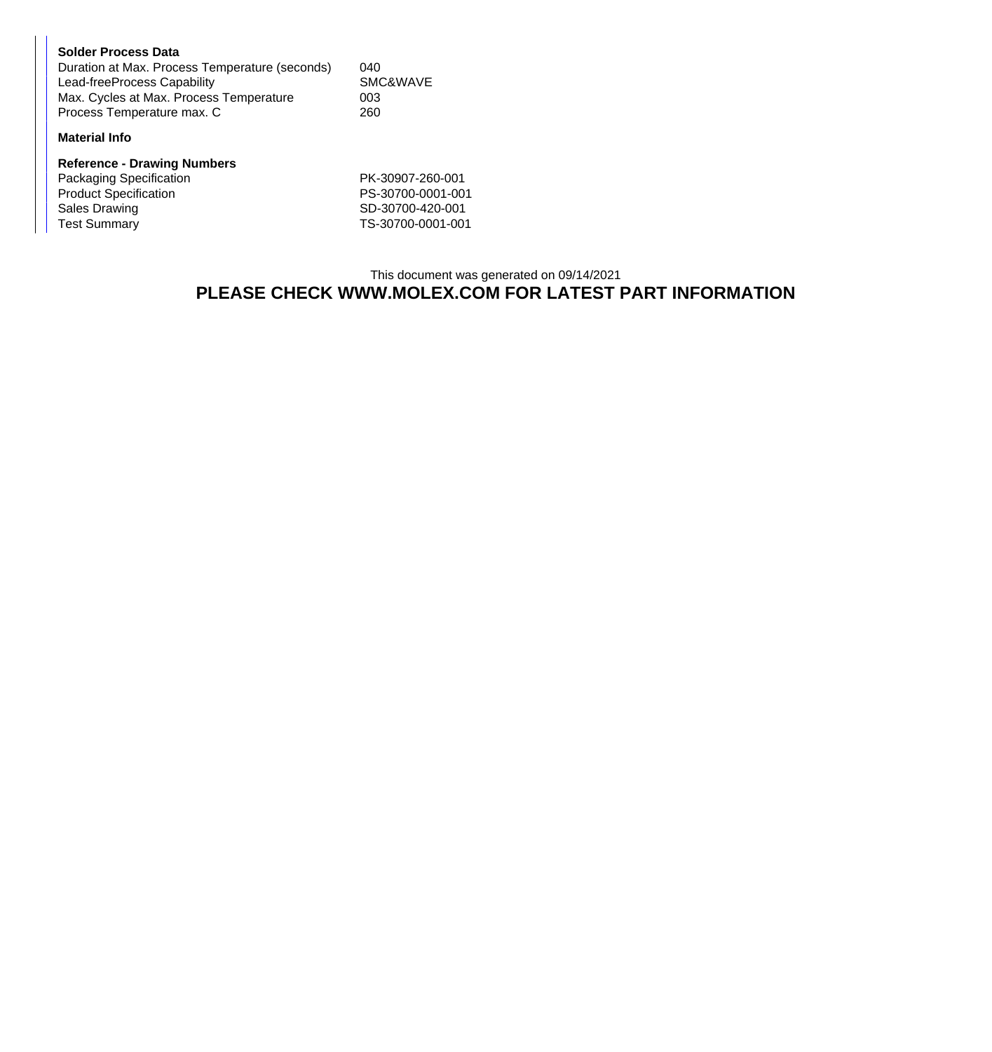| <b>Solder Process Data</b>                     |          |
|------------------------------------------------|----------|
| Duration at Max. Process Temperature (seconds) | 040      |
| Lead-freeProcess Capability                    | SMC&WAVE |
| Max. Cycles at Max. Process Temperature        | 003      |
| Process Temperature max. C                     | 260      |

## **Material Info**

| <b>Reference - Drawing Numbers</b> |                   |  |  |  |
|------------------------------------|-------------------|--|--|--|
| Packaging Specification            | PK-30907-260-001  |  |  |  |
| <b>Product Specification</b>       | PS-30700-0001-001 |  |  |  |
| Sales Drawing                      | SD-30700-420-001  |  |  |  |
| <b>Test Summary</b>                | TS-30700-0001-001 |  |  |  |

## This document was generated on 09/14/2021 **PLEASE CHECK WWW.MOLEX.COM FOR LATEST PART INFORMATION**